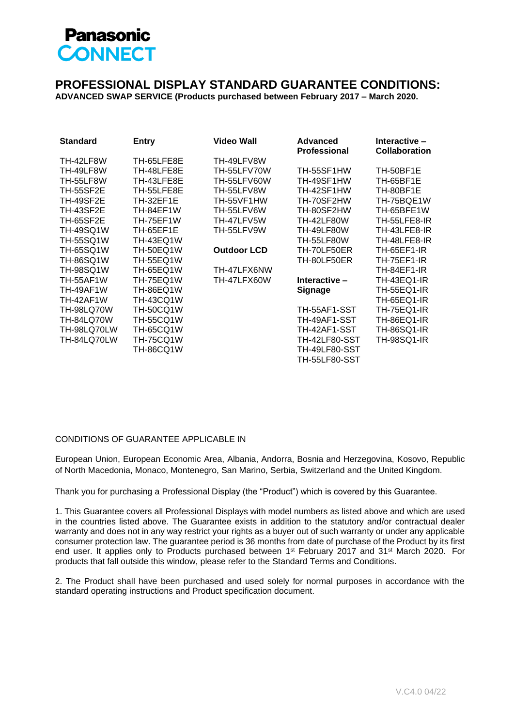

## **PROFESSIONAL DISPLAY STANDARD GUARANTEE CONDITIONS:**

**ADVANCED SWAP SERVICE (Products purchased between February 2017 – March 2020.**

| <b>Standard</b>   | <b>Entry</b>     | <b>Video Wall</b>  | Advanced<br><b>Professional</b> | Interactive -<br><b>Collaboration</b> |
|-------------------|------------------|--------------------|---------------------------------|---------------------------------------|
| TH-42LF8W         | TH-65LFE8E       | TH-49LFV8W         |                                 |                                       |
| TH-49LF8W         | TH-48LFE8E       | TH-55LFV70W        | TH-55SF1HW                      | TH-50BF1E                             |
| <b>TH-55LF8W</b>  | TH-43LFE8E       | TH-55LFV60W        | TH-49SF1HW                      | <b>TH-65BF1E</b>                      |
| <b>TH-55SF2E</b>  | TH-55LFE8E       | TH-55LFV8W         | TH-42SF1HW                      | TH-80BF1E                             |
| TH-49SF2E         | <b>TH-32EF1E</b> | TH-55VF1HW         | TH-70SF2HW                      | TH-75BQE1W                            |
| <b>TH-43SF2E</b>  | TH-84EF1W        | TH-55LFV6W         | TH-80SF2HW                      | TH-65BFE1W                            |
| <b>TH-65SF2E</b>  | TH-75EF1W        | TH-47LFV5W         | <b>TH-42LF80W</b>               | TH-55LFE8-IR                          |
| <b>TH-49SQ1W</b>  | TH-65EF1E        | TH-55LFV9W         | <b>TH-49LF80W</b>               | TH-43LFE8-IR                          |
| <b>TH-55SQ1W</b>  | TH-43EQ1W        |                    | <b>TH-55LF80W</b>               | TH-48LFE8-IR                          |
| <b>TH-65SQ1W</b>  | TH-50EQ1W        | <b>Outdoor LCD</b> | TH-70LF50ER                     | <b>TH-65EF1-IR</b>                    |
| <b>TH-86SQ1W</b>  | <b>TH-55EQ1W</b> |                    | TH-80LF50ER                     | <b>TH-75EF1-IR</b>                    |
| TH-98SQ1W         | TH-65EQ1W        | TH-47LFX6NW        |                                 | TH-84EF1-IR                           |
| <b>TH-55AF1W</b>  | TH-75EQ1W        | TH-47LFX60W        | Interactive -                   | <b>TH-43EQ1-IR</b>                    |
| TH-49AF1W         | TH-86EQ1W        |                    | <b>Signage</b>                  | TH-55EQ1-IR                           |
| TH-42AF1W         | <b>TH-43CQ1W</b> |                    |                                 | <b>TH-65EQ1-IR</b>                    |
| <b>TH-98LQ70W</b> | <b>TH-50CQ1W</b> |                    | TH-55AF1-SST                    | <b>TH-75EQ1-IR</b>                    |
| <b>TH-84LQ70W</b> | <b>TH-55CQ1W</b> |                    | TH-49AF1-SST                    | <b>TH-86EQ1-IR</b>                    |
| TH-98LQ70LW       | TH-65CQ1W        |                    | TH-42AF1-SST                    | <b>TH-86SQ1-IR</b>                    |
| TH-84LQ70LW       | <b>TH-75CQ1W</b> |                    | <b>TH-42LF80-SST</b>            | <b>TH-98SQ1-IR</b>                    |
|                   | TH-86CQ1W        |                    | <b>TH-49LF80-SST</b>            |                                       |
|                   |                  |                    | <b>TH-55LF80-SST</b>            |                                       |

## CONDITIONS OF GUARANTEE APPLICABLE IN

European Union, European Economic Area, Albania, Andorra, Bosnia and Herzegovina, Kosovo, Republic of North Macedonia, Monaco, Montenegro, San Marino, Serbia, Switzerland and the United Kingdom.

Thank you for purchasing a Professional Display (the "Product") which is covered by this Guarantee.

1. This Guarantee covers all Professional Displays with model numbers as listed above and which are used in the countries listed above. The Guarantee exists in addition to the statutory and/or contractual dealer warranty and does not in any way restrict your rights as a buyer out of such warranty or under any applicable consumer protection law. The guarantee period is 36 months from date of purchase of the Product by its first end user. It applies only to Products purchased between 1<sup>st</sup> February 2017 and 31<sup>st</sup> March 2020. For products that fall outside this window, please refer to the Standard Terms and Conditions.

2. The Product shall have been purchased and used solely for normal purposes in accordance with the standard operating instructions and Product specification document.